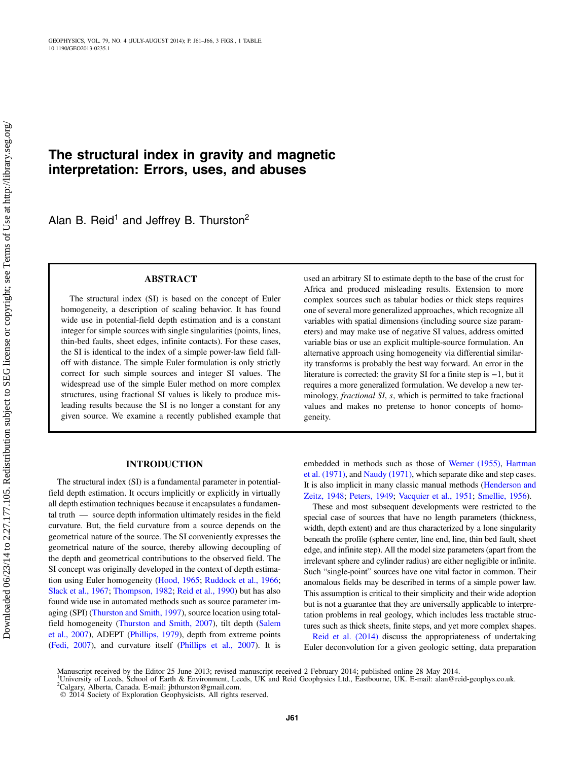# The structural index in gravity and magnetic interpretation: Errors, uses, and abuses

Alan B. Reid<sup>1</sup> and Jeffrey B. Thurston<sup>2</sup>

# ABSTRACT

The structural index (SI) is based on the concept of Euler homogeneity, a description of scaling behavior. It has found wide use in potential-field depth estimation and is a constant integer for simple sources with single singularities (points, lines, thin-bed faults, sheet edges, infinite contacts). For these cases, the SI is identical to the index of a simple power-law field falloff with distance. The simple Euler formulation is only strictly correct for such simple sources and integer SI values. The widespread use of the simple Euler method on more complex structures, using fractional SI values is likely to produce misleading results because the SI is no longer a constant for any given source. We examine a recently published example that

### INTRODUCTION

The structural index (SI) is a fundamental parameter in potentialfield depth estimation. It occurs implicitly or explicitly in virtually all depth estimation techniques because it encapsulates a fundamental truth — source depth information ultimately resides in the field curvature. But, the field curvature from a source depends on the geometrical nature of the source. The SI conveniently expresses the geometrical nature of the source, thereby allowing decoupling of the depth and geometrical contributions to the observed field. The SI concept was originally developed in the context of depth estimation using Euler homogeneity ([Hood, 1965;](#page-4-0) [Ruddock et al., 1966;](#page-4-1) [Slack et al., 1967;](#page-4-2) [Thompson, 1982;](#page-5-0) [Reid et al., 1990](#page-4-3)) but has also found wide use in automated methods such as source parameter imaging (SPI) ([Thurston and Smith, 1997\)](#page-5-1), source location using totalfield homogeneity [\(Thurston and Smith, 2007\)](#page-5-2), tilt depth ([Salem](#page-4-4) [et al., 2007](#page-4-4)), ADEPT [\(Phillips, 1979](#page-4-5)), depth from extreme points ([Fedi, 2007\)](#page-4-6), and curvature itself [\(Phillips et al., 2007\)](#page-4-7). It is used an arbitrary SI to estimate depth to the base of the crust for Africa and produced misleading results. Extension to more complex sources such as tabular bodies or thick steps requires one of several more generalized approaches, which recognize all variables with spatial dimensions (including source size parameters) and may make use of negative SI values, address omitted variable bias or use an explicit multiple-source formulation. An alternative approach using homogeneity via differential similarity transforms is probably the best way forward. An error in the literature is corrected: the gravity SI for a finite step is −1, but it requires a more generalized formulation. We develop a new terminology, *fractional SI*, *s*, which is permitted to take fractional values and makes no pretense to honor concepts of homogeneity.

embedded in methods such as those of [Werner \(1955\)](#page-5-3), [Hartman](#page-4-8) [et al. \(1971\)](#page-4-8), and [Naudy \(1971\),](#page-4-9) which separate dike and step cases. It is also implicit in many classic manual methods ([Henderson and](#page-4-10) [Zeitz, 1948](#page-4-10); [Peters, 1949;](#page-4-11) [Vacquier et al., 1951](#page-5-4); [Smellie, 1956](#page-4-12)).

These and most subsequent developments were restricted to the special case of sources that have no length parameters (thickness, width, depth extent) and are thus characterized by a lone singularity beneath the profile (sphere center, line end, line, thin bed fault, sheet edge, and infinite step). All the model size parameters (apart from the irrelevant sphere and cylinder radius) are either negligible or infinite. Such "single-point" sources have one vital factor in common. Their anomalous fields may be described in terms of a simple power law. This assumption is critical to their simplicity and their wide adoption but is not a guarantee that they are universally applicable to interpretation problems in real geology, which includes less tractable structures such as thick sheets, finite steps, and yet more complex shapes. [Reid et al. \(2014\)](#page-4-13) discuss the appropriateness of undertaking Euler deconvolution for a given geologic setting, data preparation

Manuscript received by the Editor 25 June 2013; revised manuscript received 2 February 2014; published online 28 May 2014.<br><sup>1</sup>University of Leeds, School of Earth & Environment, Leeds, UK and Reid Geophysics Ltd., Eastbour

<sup>2</sup> Calgary, Alberta, Canada. E-mail: jbthurston@gmail.com. © 2014 Society of Exploration Geophysicists. All rights reserved.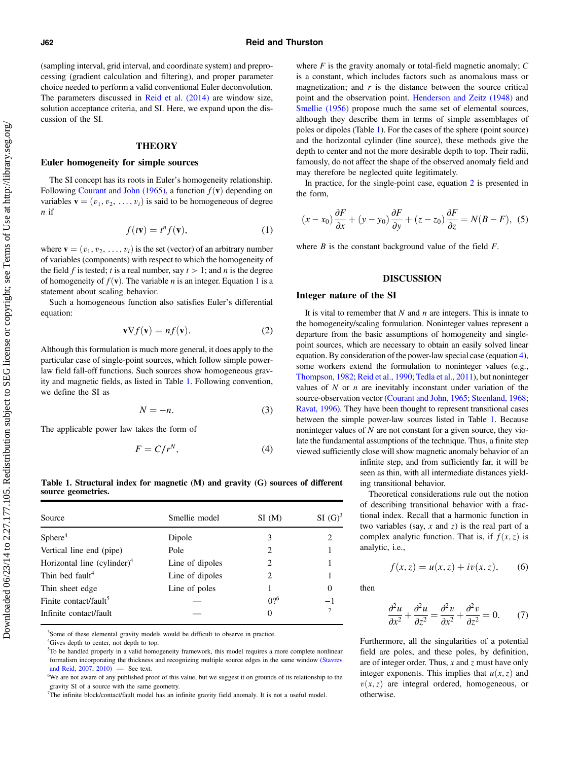(sampling interval, grid interval, and coordinate system) and preprocessing (gradient calculation and filtering), and proper parameter choice needed to perform a valid conventional Euler deconvolution. The parameters discussed in [Reid et al. \(2014\)](#page-4-13) are window size, solution acceptance criteria, and SI. Here, we expand upon the discussion of the SI.

# **THEORY**

### Euler homogeneity for simple sources

<span id="page-1-0"></span>The SI concept has its roots in Euler's homogeneity relationship. Following [Courant and John \(1965\)](#page-4-14), a function  $f(\mathbf{v})$  depending on variables  $\mathbf{v} = (v_1, v_2, \dots, v_i)$  is said to be homogeneous of degree n if

$$
f(t\mathbf{v}) = t^n f(\mathbf{v}),\tag{1}
$$

where  $\mathbf{v} = (v_1, v_2, \dots, v_i)$  is the set (vector) of an arbitrary number of variables (components) with respect to which the homogeneity of the field f is tested; t is a real number, say  $t > 1$ ; and n is the degree of homogeneity of  $f(\mathbf{v})$ . The variable *n* is an integer. Equation [1](#page-1-0) is a statement about scaling behavior.

<span id="page-1-2"></span>Such a homogeneous function also satisfies Euler's differential equation:

$$
\mathbf{v}\nabla f(\mathbf{v}) = nf(\mathbf{v}).\tag{2}
$$

Although this formulation is much more general, it does apply to the particular case of single-point sources, which follow simple powerlaw field fall-off functions. Such sources show homogeneous gravity and magnetic fields, as listed in Table [1.](#page-1-1) Following convention, we define the SI as

$$
N = -n.\t\t(3)
$$

<span id="page-1-3"></span>The applicable power law takes the form of

$$
F = C/r^N, \tag{4}
$$

<span id="page-1-1"></span>Table 1. Structural index for magnetic (M) and gravity (G) sources of different source geometries.

| Source                                  | Smellie model   | SI(M)                       | $SI(G)^3$ |
|-----------------------------------------|-----------------|-----------------------------|-----------|
| Sphere <sup>4</sup>                     | Dipole          | 3                           |           |
| Vertical line end (pipe)                | Pole            | $\mathcal{D}_{\mathcal{L}}$ |           |
| Horizontal line (cylinder) <sup>4</sup> | Line of dipoles | 2                           |           |
| Thin bed fault <sup>4</sup>             | Line of dipoles | $\mathcal{D}_{\mathcal{L}}$ |           |
| Thin sheet edge                         | Line of poles   |                             | 0         |
| Finite contact/fault <sup>5</sup>       |                 | 0 <sup>26</sup>             | $-1$      |
| Infinite contact/fault                  |                 | $\theta$                    | 7         |
|                                         |                 |                             |           |

<sup>3</sup>Some of these elemental gravity models would be difficult to observe in practice.

<sup>5</sup>To be handled properly in a valid homogeneity framework, this model requires a more complete nonlinear formalism incorporating the thickness and recognizing multiple source edges in the same window [\(Stavrev](#page-4-18) [and Reid, 2007,](#page-4-18) [2010\)](#page-4-19) — See text.

<sup>6</sup>We are not aware of any published proof of this value, but we suggest it on grounds of its relationship to the gravity SI of a source with the same geometry.

7 The infinite block/contact/fault model has an infinite gravity field anomaly. It is not a useful model.

where  $F$  is the gravity anomaly or total-field magnetic anomaly;  $C$ is a constant, which includes factors such as anomalous mass or magnetization; and  $r$  is the distance between the source critical point and the observation point. [Henderson and Zeitz \(1948\)](#page-4-10) and [Smellie \(1956\)](#page-4-12) propose much the same set of elemental sources, although they describe them in terms of simple assemblages of poles or dipoles (Table [1\)](#page-1-1). For the cases of the sphere (point source) and the horizontal cylinder (line source), these methods give the depth to center and not the more desirable depth to top. Their radii, famously, do not affect the shape of the observed anomaly field and may therefore be neglected quite legitimately.

<span id="page-1-4"></span>In practice, for the single-point case, equation [2](#page-1-2) is presented in the form,

$$
(x - x_0)\frac{\partial F}{\partial x} + (y - y_0)\frac{\partial F}{\partial y} + (z - z_0)\frac{\partial F}{\partial z} = N(B - F),
$$
 (5)

where  $B$  is the constant background value of the field  $F$ .

### DISCUSSION

#### Integer nature of the SI

It is vital to remember that  $N$  and  $n$  are integers. This is innate to the homogeneity/scaling formulation. Noninteger values represent a departure from the basic assumptions of homogeneity and singlepoint sources, which are necessary to obtain an easily solved linear equation. By consideration of the power-law special case (equation [4\)](#page-1-3), some workers extend the formulation to noninteger values (e.g., [Thompson, 1982;](#page-5-0) [Reid et al., 1990](#page-4-3); [Tedla et al., 2011](#page-4-15)), but noninteger values of  $N$  or  $n$  are inevitably inconstant under variation of the source-observation vector ([Courant and John, 1965](#page-4-14); [Steenland, 1968;](#page-4-16) [Ravat, 1996](#page-4-17)). They have been thought to represent transitional cases between the simple power-law sources listed in Table [1](#page-1-1). Because noninteger values of  $N$  are not constant for a given source, they violate the fundamental assumptions of the technique. Thus, a finite step viewed sufficiently close will show magnetic anomaly behavior of an

> infinite step, and from sufficiently far, it will be seen as thin, with all intermediate distances yielding transitional behavior.

> Theoretical considerations rule out the notion of describing transitional behavior with a fractional index. Recall that a harmonic function in two variables (say,  $x$  and  $z$ ) is the real part of a complex analytic function. That is, if  $f(x, z)$  is analytic, i.e.,

$$
f(x, z) = u(x, z) + iv(x, z),
$$
 (6)

then

$$
\frac{\partial^2 u}{\partial x^2} + \frac{\partial^2 u}{\partial z^2} = \frac{\partial^2 v}{\partial x^2} + \frac{\partial^2 v}{\partial z^2} = 0.
$$
 (7)

Furthermore, all the singularities of a potential field are poles, and these poles, by definition, are of integer order. Thus,  $x$  and  $z$  must have only integer exponents. This implies that  $u(x, z)$  and  $v(x, z)$  are integral ordered, homogeneous, or otherwise.

<sup>&</sup>lt;sup>4</sup>Gives depth to center, not depth to top.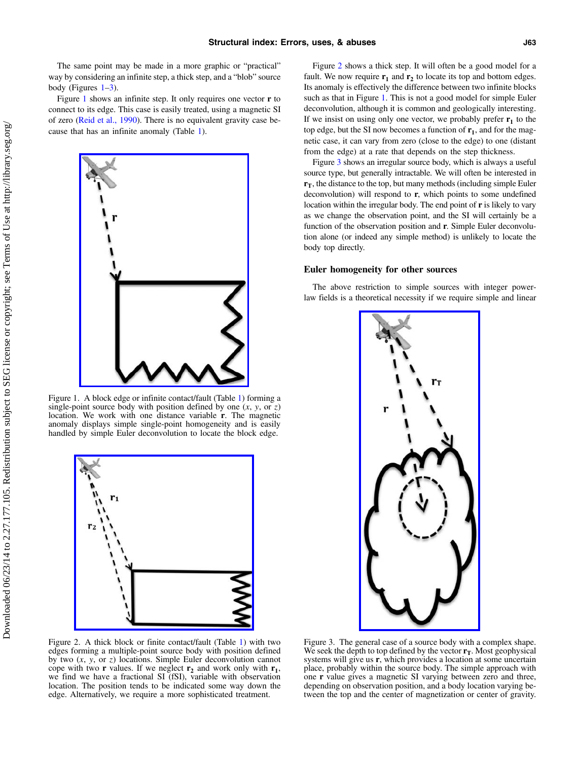The same point may be made in a more graphic or "practical" way by considering an infinite step, a thick step, and a "blob" source body (Figures  $1-3$  $1-3$  $1-3$ ).

Figure [1](#page-2-0) shows an infinite step. It only requires one vector  $\bf{r}$  to connect to its edge. This case is easily treated, using a magnetic SI of zero ([Reid et al., 1990\)](#page-4-3). There is no equivalent gravity case because that has an infinite anomaly (Table [1](#page-1-1)).

<span id="page-2-0"></span>

Figure 1. A block edge or infinite contact/fault (Table [1](#page-1-1)) forming a single-point source body with position defined by one  $(x, y, or z)$ location. We work with one distance variable r. The magnetic anomaly displays simple single-point homogeneity and is easily handled by simple Euler deconvolution to locate the block edge.

<span id="page-2-2"></span>

Figure [2](#page-2-2) shows a thick step. It will often be a good model for a fault. We now require  $r_1$  and  $r_2$  to locate its top and bottom edges. Its anomaly is effectively the difference between two infinite blocks such as that in Figure [1.](#page-2-0) This is not a good model for simple Euler deconvolution, although it is common and geologically interesting. If we insist on using only one vector, we probably prefer  $r_1$  to the top edge, but the SI now becomes a function of  $r_1$ , and for the magnetic case, it can vary from zero (close to the edge) to one (distant from the edge) at a rate that depends on the step thickness.

Figure [3](#page-2-1) shows an irregular source body, which is always a useful source type, but generally intractable. We will often be interested in  $r<sub>T</sub>$ , the distance to the top, but many methods (including simple Euler deconvolution) will respond to r, which points to some undefined location within the irregular body. The end point of r is likely to vary as we change the observation point, and the SI will certainly be a function of the observation position and r. Simple Euler deconvolution alone (or indeed any simple method) is unlikely to locate the body top directly.

### Euler homogeneity for other sources

<span id="page-2-1"></span>The above restriction to simple sources with integer powerlaw fields is a theoretical necessity if we require simple and linear



Figure 2. A thick block or finite contact/fault (Table [1\)](#page-1-1) with two edges forming a multiple-point source body with position defined by two  $(x, y, or z)$  locations. Simple Euler deconvolution cannot cope with two **r** values. If we neglect  $\mathbf{r}_2$  and work only with  $\mathbf{r}_1$ , we find we have a fractional SI (fSI), variable with observation location. The position tends to be indicated some way down the edge. Alternatively, we require a more sophisticated treatment.

Figure 3. The general case of a source body with a complex shape. We seek the depth to top defined by the vector  $r_T$ . Most geophysical systems will give us r, which provides a location at some uncertain place, probably within the source body. The simple approach with one r value gives a magnetic SI varying between zero and three, depending on observation position, and a body location varying between the top and the center of magnetization or center of gravity.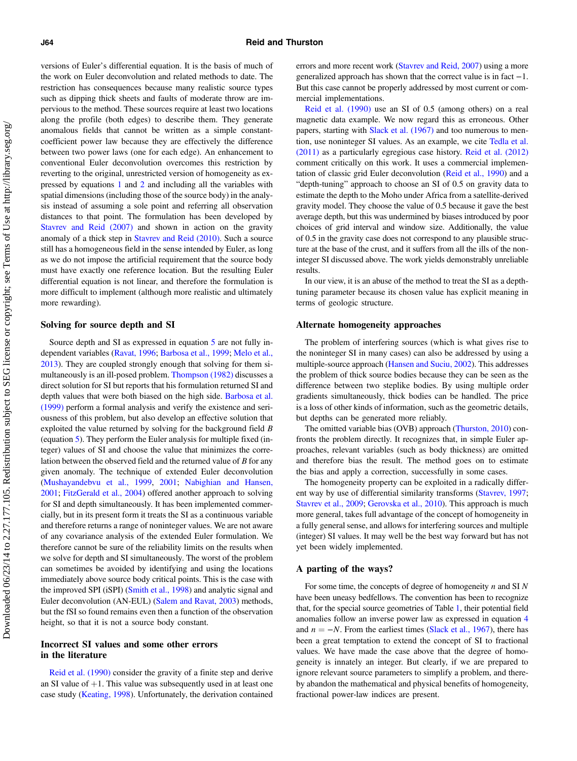versions of Euler's differential equation. It is the basis of much of the work on Euler deconvolution and related methods to date. The restriction has consequences because many realistic source types such as dipping thick sheets and faults of moderate throw are impervious to the method. These sources require at least two locations along the profile (both edges) to describe them. They generate anomalous fields that cannot be written as a simple constantcoefficient power law because they are effectively the difference between two power laws (one for each edge). An enhancement to conventional Euler deconvolution overcomes this restriction by reverting to the original, unrestricted version of homogeneity as expressed by equations [1](#page-1-0) and [2](#page-1-2) and including all the variables with spatial dimensions (including those of the source body) in the analysis instead of assuming a sole point and referring all observation distances to that point. The formulation has been developed by [Stavrev and Reid \(2007\)](#page-4-18) and shown in action on the gravity anomaly of a thick step in [Stavrev and Reid \(2010\)](#page-4-19). Such a source still has a homogeneous field in the sense intended by Euler, as long as we do not impose the artificial requirement that the source body must have exactly one reference location. But the resulting Euler differential equation is not linear, and therefore the formulation is more difficult to implement (although more realistic and ultimately more rewarding).

# Solving for source depth and SI

Source depth and SI as expressed in equation [5](#page-1-4) are not fully independent variables ([Ravat, 1996](#page-4-17); [Barbosa et al., 1999;](#page-4-20) [Melo et al.,](#page-4-21) [2013\)](#page-4-21). They are coupled strongly enough that solving for them simultaneously is an ill-posed problem. [Thompson \(1982\)](#page-5-0) discusses a direct solution for SI but reports that his formulation returned SI and depth values that were both biased on the high side. [Barbosa et al.](#page-4-20) [\(1999\)](#page-4-20) perform a formal analysis and verify the existence and seriousness of this problem, but also develop an effective solution that exploited the value returned by solving for the background field B (equation [5\)](#page-1-4). They perform the Euler analysis for multiple fixed (integer) values of SI and choose the value that minimizes the correlation between the observed field and the returned value of B for any given anomaly. The technique of extended Euler deconvolution ([Mushayandebvu et al., 1999](#page-4-22), [2001](#page-4-23); [Nabighian and Hansen,](#page-4-24) [2001;](#page-4-24) [FitzGerald et al., 2004](#page-4-25)) offered another approach to solving for SI and depth simultaneously. It has been implemented commercially, but in its present form it treats the SI as a continuous variable and therefore returns a range of noninteger values. We are not aware of any covariance analysis of the extended Euler formulation. We therefore cannot be sure of the reliability limits on the results when we solve for depth and SI simultaneously. The worst of the problem can sometimes be avoided by identifying and using the locations immediately above source body critical points. This is the case with the improved SPI (iSPI) ([Smith et al., 1998\)](#page-4-26) and analytic signal and Euler deconvolution (AN-EUL) ([Salem and Ravat, 2003](#page-4-27)) methods, but the fSI so found remains even then a function of the observation height, so that it is not a source body constant.

### Incorrect SI values and some other errors in the literature

[Reid et al. \(1990\)](#page-4-3) consider the gravity of a finite step and derive an SI value of  $+1$ . This value was subsequently used in at least one case study ([Keating, 1998](#page-4-21)). Unfortunately, the derivation contained errors and more recent work [\(Stavrev and Reid, 2007](#page-4-18)) using a more generalized approach has shown that the correct value is in fact −1. But this case cannot be properly addressed by most current or commercial implementations.

[Reid et al. \(1990\)](#page-4-3) use an SI of 0.5 (among others) on a real magnetic data example. We now regard this as erroneous. Other papers, starting with [Slack et al. \(1967\)](#page-4-2) and too numerous to mention, use noninteger SI values. As an example, we cite [Tedla et al.](#page-4-15) [\(2011\)](#page-4-15) as a particularly egregious case history. [Reid et al. \(2012\)](#page-4-28) comment critically on this work. It uses a commercial implementation of classic grid Euler deconvolution ([Reid et al., 1990\)](#page-4-3) and a "depth-tuning" approach to choose an SI of 0.5 on gravity data to estimate the depth to the Moho under Africa from a satellite-derived gravity model. They choose the value of 0.5 because it gave the best average depth, but this was undermined by biases introduced by poor choices of grid interval and window size. Additionally, the value of 0.5 in the gravity case does not correspond to any plausible structure at the base of the crust, and it suffers from all the ills of the noninteger SI discussed above. The work yields demonstrably unreliable results.

In our view, it is an abuse of the method to treat the SI as a depthtuning parameter because its chosen value has explicit meaning in terms of geologic structure.

### Alternate homogeneity approaches

The problem of interfering sources (which is what gives rise to the noninteger SI in many cases) can also be addressed by using a multiple-source approach ([Hansen and Suciu, 2002](#page-4-29)). This addresses the problem of thick source bodies because they can be seen as the difference between two steplike bodies. By using multiple order gradients simultaneously, thick bodies can be handled. The price is a loss of other kinds of information, such as the geometric details, but depths can be generated more reliably.

The omitted variable bias (OVB) approach [\(Thurston, 2010](#page-5-5)) confronts the problem directly. It recognizes that, in simple Euler approaches, relevant variables (such as body thickness) are omitted and therefore bias the result. The method goes on to estimate the bias and apply a correction, successfully in some cases.

The homogeneity property can be exploited in a radically different way by use of differential similarity transforms ([Stavrev, 1997;](#page-4-30) [Stavrev et al., 2009;](#page-4-31) [Gerovska et al., 2010](#page-4-32)). This approach is much more general, takes full advantage of the concept of homogeneity in a fully general sense, and allows for interfering sources and multiple (integer) SI values. It may well be the best way forward but has not yet been widely implemented.

#### A parting of the ways?

For some time, the concepts of degree of homogeneity  $n$  and SI  $N$ have been uneasy bedfellows. The convention has been to recognize that, for the special source geometries of Table [1](#page-1-1), their potential field anomalies follow an inverse power law as expressed in equation [4](#page-1-3) and  $n = -N$ . From the earliest times [\(Slack et al., 1967](#page-4-2)), there has been a great temptation to extend the concept of SI to fractional values. We have made the case above that the degree of homogeneity is innately an integer. But clearly, if we are prepared to ignore relevant source parameters to simplify a problem, and thereby abandon the mathematical and physical benefits of homogeneity, fractional power-law indices are present.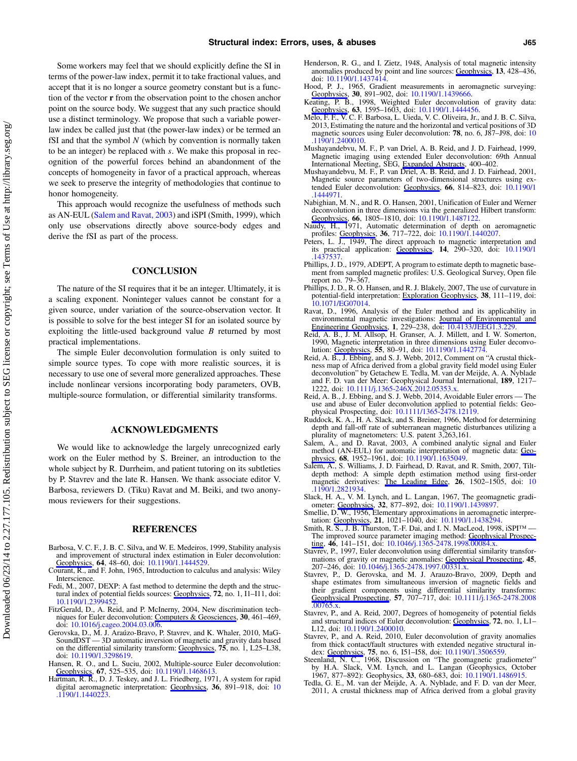Some workers may feel that we should explicitly define the SI in terms of the power-law index, permit it to take fractional values, and accept that it is no longer a source geometry constant but is a function of the vector r from the observation point to the chosen anchor point on the source body. We suggest that any such practice should use a distinct terminology. We propose that such a variable powerlaw index be called just that (the power-law index) or be termed an fSI and that the symbol  $N$  (which by convention is normally taken to be an integer) be replaced with  $s$ . We make this proposal in recognition of the powerful forces behind an abandonment of the concepts of homogeneity in favor of a practical approach, whereas we seek to preserve the integrity of methodologies that continue to honor homogeneity.

This approach would recognize the usefulness of methods such as AN-EUL ([Salem and Ravat, 2003\)](#page-4-27) and iSPI (Smith, 1999), which only use observations directly above source-body edges and derive the fSI as part of the process.

### **CONCLUSION**

The nature of the SI requires that it be an integer. Ultimately, it is a scaling exponent. Noninteger values cannot be constant for a given source, under variation of the source-observation vector. It is possible to solve for the best integer SI for an isolated source by exploiting the little-used background value  $B$  returned by most practical implementations.

The simple Euler deconvolution formulation is only suited to simple source types. To cope with more realistic sources, it is necessary to use one of several more generalized approaches. These include nonlinear versions incorporating body parameters, OVB, multiple-source formulation, or differential similarity transforms.

### ACKNOWLEDGMENTS

We would like to acknowledge the largely unrecognized early work on the Euler method by S. Breiner, an introduction to the whole subject by R. Durrheim, and patient tutoring on its subtleties by P. Stavrev and the late R. Hansen. We thank associate editor V. Barbosa, reviewers D. (Tiku) Ravat and M. Beiki, and two anonymous reviewers for their suggestions.

### REFERENCES

- <span id="page-4-20"></span>Barbosa, V. C. F., J. B. C. Silva, and W. E. Medeiros, 1999, Stability analysis and improvement of structural index estimation in Euler deconvolution: Geophysics, 64, 48-60, doi: 10.1190/1.1444529
- <span id="page-4-14"></span><span id="page-4-6"></span>Courant, R., and F. John, 1965, Introduction to calculus and analysis: Wiley Interscience.
- Fedi, M., 2007, DEXP: A fast method to determine the depth and the structural index of potential fields sources: **Geophysics**, **72**, no. 1, I1–I11, doi:<br>[10.1190/1.2399452.](http://dx.doi.org/10.1190/1.2399452)
- <span id="page-4-32"></span><span id="page-4-25"></span>FitzGerald, D., A. Reid, and P. McInerny, 2004, New discrimination techniques for Euler deconvolution: Computers & Geosciences, 30, 461–469, doi: [10.1016/j.cageo.2004.03.006](http://dx.doi.org/10.1016/j.cageo.2004.03.006). Gerovska, D., M. J. Araúzo-Bravo, P. Stavrev, and K. Whaler, 2010, MaG-
- SoundDST 3D automatic inversion of magnetic and gravity data based on the differential similarity transform: **Geophysics**, **75**, no. 1, L25–L38, doi:  $10.1190/1.3298619$ .
- <span id="page-4-29"></span><span id="page-4-8"></span>Hansen, R. O., and L. Suciu, 2002, Multiple-source Euler deconvolution: Geophysics, 67, 525–535, doi: [10.1190/1.1468613.](http://dx.doi.org/10.1190/1.1468613)<br>Hartman, R. R., D. J. Teskey, and J. L. Friedberg, 1971, A system for rapid
- digital aeromagnetic interpretation: **Geophysics, 36**, 891–918, doi: [10](http://dx.doi.org/10.1190/1.1440223)<br>[.1190/1.1440223.](http://dx.doi.org/10.1190/1.1440223)
- <span id="page-4-10"></span>Henderson, R. G., and I. Zietz, 1948, Analysis of total magnetic intensity anomalies produced by point and line sources: Geophysics, 13, 428-436, doi: [10.1190/1.1437414.](http://dx.doi.org/10.1190/1.1437414)<br>Hood, P. J., 1965, Gradient measurements in aeromagnetic surveying:
- <span id="page-4-0"></span>Hood, P. J., 1965, Gradient measurements in aeromagnetic surveying:<br>
<u>Geophysics</u>, 30, 891–902, doi: [10.1190/1.1439666.](http://dx.doi.org/10.1190/1.1439666)<br>
Keating, P. B., 1998, Weighted Euler deconvolution of gravity data:<br>
<u>Geophysics</u>, 63, 1595–1603, doi
- 
- <span id="page-4-21"></span>Melo, F. F., V. C. F. Barbosa, L. Uieda, V. C. Oliveira, Jr., and J. B. C. Silva, 2013, Estimating the nature and the horizontal and vertical positions of 3D magnetic sources using Euler deconvolution: **78**, no. 6, J87–J98, doi: [10](http://dx.doi.org/10.1190/1.2400010)<br>.1190/1.2400010.
- <span id="page-4-22"></span>Mushayandebvu, M. F., P. van Driel, A. B. Reid, and J. D. Fairhead, 1999, Magnetic imaging using extended Euler deconvolution: 69th Annual International Meeting, SEG, Expanded Abstracts, 400–402.<br>Mushayandebvu, M. F., P. van Driel, A. B. Reid, and J. D. Fairhead, 2001,
- <span id="page-4-23"></span>Magnetic source parameters of two-dimensional structures using ex-<br>tended Euler deconvolution: Geophysics, 66, 814–823, doi: [10.1190/1](http://dx.doi.org/10.1190/1.1444971) [.1444971.](http://dx.doi.org/10.1190/1.1444971) Nabighian, M. N., and R. O. Hansen, 2001, Unification of Euler and Werner
- <span id="page-4-24"></span>deconvolution in three dimensions via the generalized Hilbert transform:
- <span id="page-4-9"></span>Geophysics, 66, 1805–1810, doi: [10.1190/1.1487122.](http://dx.doi.org/10.1190/1.1487122)<br>Naudy, H., 1971, Automatic determination of depth on aeromagnetic
- <span id="page-4-11"></span>profiles: Geophysics, 36, 717–722, doi: [10.1190/1.1440207](http://dx.doi.org/10.1190/1.1440207).<br>Peters, L. J., 1949, The direct approach to magnetic interpretation and<br>its practical application: Geophysics, 14, 290–320, doi: [10.1190/1](http://dx.doi.org/10.1190/1.1437537) [.1437537.](http://dx.doi.org/10.1190/1.1437537)
- <span id="page-4-5"></span>Phillips, J. D., 1979, ADEPT, A program to estimate depth to magnetic base-ment from sampled magnetic profiles: U.S. Geological Survey, Open file report no. 79–367.
- <span id="page-4-7"></span>Phillips, J. D., R. O. Hansen, and R. J. Blakely, 2007, The use of curvature in potential-field interpretation: **Exploration Geophysics, 38**, 111–119, doi: [10.1071/EG07014](http://dx.doi.org/10.1071/EG07014).
- <span id="page-4-17"></span>Ravat, D., 1996, Analysis of the Euler method and its applicability in environmental magnetic investigations: Journal of Environmental and Engineering Geophysics, <sup>1</sup>, 229–238, doi: [10.4133/JEEG1.3.229](http://dx.doi.org/10.4133/JEEG1.3.229). Reid, A. B., J. M. Allsop, H. Granser, A. J. Millett, and I. W. Somerton,
- <span id="page-4-3"></span>1990, Magnetic interpretation in three dimensions using Euler deconvolution: Geophysics, 55, 80–91, doi: [10.1190/1.1442774.](http://dx.doi.org/10.1190/1.1442774) Reid, A. B., J. Ebbing, and S. J. Webb, 2012, Comment on "A crustal thick-
- <span id="page-4-28"></span>ness map of Africa derived from a global gravity field model using Euler deconvolution" by Getachew E. Tedla, M. van der Meijde, A. A. Nyblade and F. D. van der Meer: Geophysical Journal International, **189**, 1217–<br>1222, doi: [10.1111/j.1365-246X.2012.05353.x](http://dx.doi.org/10.1111/j.1365-246X.2012.05353.x).
- <span id="page-4-13"></span>Reid, A. B., J. Ebbing, and S. J. Webb, 2014, Avoidable Euler errors — The use and abuse of Euler deconvolution applied to potential fields: Geo-physical Prospecting, doi: [10.1111/1365-2478.12119](http://dx.doi.org/10.1111/1365-2478.12119). Ruddock, K. A., H. A. Slack, and S. Breiner, 1966, Method for determining
- <span id="page-4-1"></span>depth and fall-off rate of subterranean magnetic disturbances utilizing a plurality of magnetometers: U.S. patent 3,263,161. Salem, A., and D. Ravat, 2003, A combined analytic signal and Euler
- <span id="page-4-27"></span>method (AN-EUL) for automatic interpretation of magnetic data: Geophysics, <sup>68</sup>, 1952–1961, doi: [10.1190/1.1635049](http://dx.doi.org/10.1190/1.1635049). Salem, A., S. Williams, J. D. Fairhead, D. Ravat, and R. Smith, 2007, Tilt-
- <span id="page-4-4"></span>depth method: A simple depth estimation method using first-order magnetic derivatives: The Leading Edge, 26, 1502–1505, doi: [10](http://dx.doi.org/10.1190/1.2821934) [.1190/1.2821934.](http://dx.doi.org/10.1190/1.2821934)
- <span id="page-4-2"></span>Slack, H. A., V. M. Lynch, and L. Langan, 1967, The geomagnetic gradiometer: Geophysics, 32, 877–892, doi: [10.1190/1.1439897](http://dx.doi.org/10.1190/1.1439897).<br>Smellie, D. W., 1956, Elementary approximations in aeromagnetic interpre-<br>tation: Geophysics, 21
- <span id="page-4-12"></span>
- <span id="page-4-26"></span>Smith, R. S., J. B. Thurston, T.-F. Dai, and I. N. MacLeod, 1998, iSPI*™* — The improved source parameter imaging method: **Geophysical Prospec-**<br>ting, **46**, 141–151, doi: [10.1046/j.1365-2478.1998.00084.x](http://dx.doi.org/10.1046/j.1365-2478.1998.00084.x).
- <span id="page-4-30"></span>Stavrev, P., 1997, Euler deconvolution using differential similarity transformations of gravity or magnetic anomalies: Geophysical Prospecting, 45, 207-246, doi: 10.1046/j.1365-2478.1997.00331.x.
- <span id="page-4-31"></span>Stavrev, P., D. Gerovska, and M. J. Arauzo-Bravo, 2009, Depth and shape estimates from simultaneous inversion of magnetic fields and their gradient components using differential similarity transforms:<br>Geophysical Prospecting, 57, 707–717, doi: [10.1111/j.1365-2478.2008](http://dx.doi.org/10.1111/j.1365-2478.2008.00765.x)
- <span id="page-4-18"></span>Stavrev, P., and A. Reid, 2007, Degrees of homogeneity of potential fields and structural indices of Euler deconvolution: **Geophysics**, **72**, no. 1, L1–<br>L12, doi: 10.1190/1.2400010.
- <span id="page-4-19"></span>Stavrev, P., and A. Reid, 2010, Euler deconvolution of gravity anomalies from thick contact/fault structures with extended negative structural index: Geophysics, 75, no. 6, I51–I58, doi: [10.1190/1.3506559.](http://dx.doi.org/10.1190/1.3506559)
- <span id="page-4-16"></span>Steenland, N. C., 1968, Discussion on "The geomagnetic gradiometer" by H.A. Slack, V.M. Lynch, and L. Langan (Geophysics, October 1967, 877–892): Geophysics, 33, 680–683, doi: [10.1190/1.1486915.](http://dx.doi.org/10.1190/1.1486915)
- <span id="page-4-15"></span>Tedla, G. E., M. van der Meijde, A. A. Nyblade, and F. D. van der Meer, 2011, A crustal thickness map of Africa derived from a global gravity